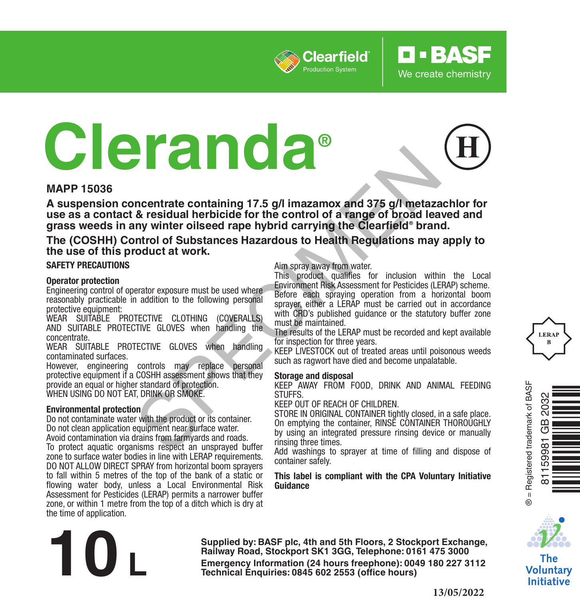

# **Cleranda®**

## **MAPP 15036**

**A suspension concentrate containing 17.5 g/l imazamox and 375 g/l metazachlor for use as a contact & residual herbicide for the control of a range of broad leaved and grass weeds in any winter oilseed rape hybrid carrying the Clearfield® brand. Example the state of the control of State Control of State Control of State Control of State Control of State Control of State Control of State Control of State Control of State Control of State Control of State Control o** 

## **The (COSHH) Control of Substances Hazardous to Health Regulations may apply to the use of this product at work.**

#### **SAFETY PRECAUTIONS**

#### **Operator protection**

Engineering control of operator exposure must be used where reasonably practicable in addition to the following personal protective equipment:

WEAR SUITABLE PROTECTIVE CLOTHING (COVERALLS) AND SUITABLE PROTECTIVE GLOVES when handling the concentrate.

WEAR SUITABLE PROTECTIVE GLOVES when handling contaminated surfaces.

However, engineering controls may replace personal protective equipment if a COSHH assessment shows that they provide an equal or higher standard of protection. WHEN USING DO NOT EAT, DRINK OR SMOKE.

#### **Environmental protection**

Do not contaminate water with the product or its container. Do not clean application equipment near surface water. Avoid contamination via drains from farmyards and roads.

To protect aquatic organisms respect an unsprayed buffer zone to surface water bodies in line with LERAP requirements. DO NOT ALLOW DIRECT SPRAY from horizontal boom sprayers to fall within 5 metres of the top of the bank of a static or flowing water body, unless a Local Environmental Risk Assessment for Pesticides (LERAP) permits a narrower buffer zone, or within 1 metre from the top of a ditch which is dry at the time of application.

#### Aim spray away from water.

This product qualifies for inclusion within the Local Environment Risk Assessment for Pesticides (LERAP) scheme. Before each spraying operation from a horizontal boom sprayer, either a LERAP must be carried out in accordance with CRD's published guidance or the statutory buffer zone must be maintained.

**D-BASF** 

We create chemistry

The results of the LERAP must be recorded and kept available for inspection for three years.

KEEP LIVESTOCK out of treated areas until poisonous weeds such as ragwort have died and become unpalatable.

#### **Storage and disposal**

KEEP AWAY FROM FOOD, DRINK AND ANIMAL FEEDING **STUFFS** 

KEEP OUT OF REACH OF CHILDREN.

STORE IN ORIGINAL CONTAINER tightly closed, in a safe place. On emptying the container, RINSE CONTAINER THOROUGHLY by using an integrated pressure rinsing device or manually rinsing three times.

Add washings to sprayer at time of filling and dispose of container safely.

#### **This label is compliant with the CPA Voluntary Initiative Guidance**







The Voluntary **Initiative** 

**Supplied by: BASF plc, 4th and 5th Floors, 2 Stockport Exchange, Railway Road, Stockport SK1 3GG, Telephone: 0161 475 3000 Emergency Information (24 hours freephone): 0049 <sup>180</sup> <sup>227</sup> 3112 10 L Technical Enquiries: 0845 <sup>602</sup> 2553 (office hours)**

#### **13/05/2022**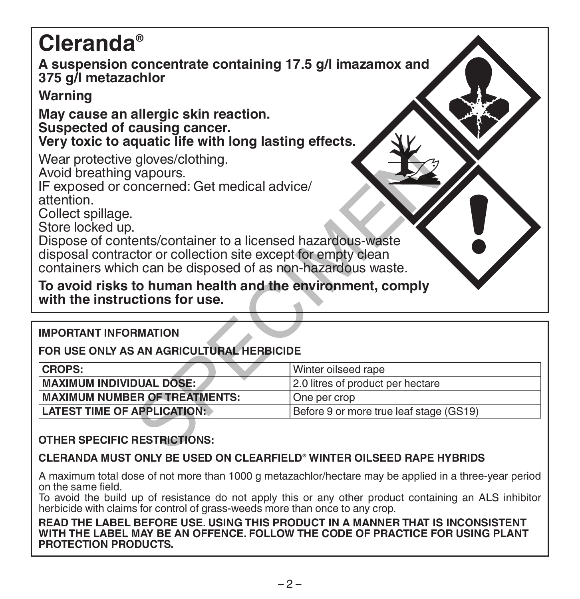| <b>Cleranda</b> ®                                                                                                                                                                                                                                                                                                                                                                                                                                                  |                                   |  |  |  |
|--------------------------------------------------------------------------------------------------------------------------------------------------------------------------------------------------------------------------------------------------------------------------------------------------------------------------------------------------------------------------------------------------------------------------------------------------------------------|-----------------------------------|--|--|--|
| A suspension concentrate containing 17.5 g/l imazamox and<br>375 g/l metazachlor                                                                                                                                                                                                                                                                                                                                                                                   |                                   |  |  |  |
| Warning                                                                                                                                                                                                                                                                                                                                                                                                                                                            |                                   |  |  |  |
| May cause an allergic skin reaction.<br>Suspected of causing cancer.<br>Very toxic to aquatic life with long lasting effects.                                                                                                                                                                                                                                                                                                                                      |                                   |  |  |  |
| Wear protective gloves/clothing.<br>Avoid breathing vapours.<br>IF exposed or concerned: Get medical advice/<br>attention.<br>Collect spillage.<br>Store locked up.<br>Dispose of contents/container to a licensed hazardous-waste<br>disposal contractor or collection site except for empty clean<br>containers which can be disposed of as non-hazardous waste.<br>To avoid risks to human health and the environment, comply<br>with the instructions for use. |                                   |  |  |  |
| <b>IMPORTANT INFORMATION</b>                                                                                                                                                                                                                                                                                                                                                                                                                                       |                                   |  |  |  |
| FOR USE ONLY AS AN AGRICULTURAL HERBICIDE                                                                                                                                                                                                                                                                                                                                                                                                                          |                                   |  |  |  |
| <b>CROPS:</b>                                                                                                                                                                                                                                                                                                                                                                                                                                                      | Winter oilseed rape               |  |  |  |
| <b>MAXIMUM INDIVIDUAL DOSE:</b>                                                                                                                                                                                                                                                                                                                                                                                                                                    | 2.0 litres of product per hectare |  |  |  |
| <b>MAXIMUM NUMBER OF TREATMENTS:</b>                                                                                                                                                                                                                                                                                                                                                                                                                               | One per crop                      |  |  |  |
| <b>LATEST TIME OF APPLICATION:</b><br>Before 9 or more true leaf stage (GS19)                                                                                                                                                                                                                                                                                                                                                                                      |                                   |  |  |  |
| <b>OTHER SPECIFIC RESTRICTIONS:</b>                                                                                                                                                                                                                                                                                                                                                                                                                                |                                   |  |  |  |

# **FOR USE ONLY AS AN AGRICULTURAL HERBICIDE**

| <b>CROPS:</b>                        | l Winter oilseed rape                   |
|--------------------------------------|-----------------------------------------|
| <b>MAXIMUM INDIVIDUAL DOSE:</b>      | 12.0 litres of product per hectare      |
| <b>MAXIMUM NUMBER OF TREATMENTS:</b> | l One per crop                          |
| <b>LATEST TIME OF APPLICATION:</b>   | Before 9 or more true leaf stage (GS19) |

## **OTHER SPECIFIC RESTRICTIONS:**

## **CLERANDA MUST ONLY BE USED ON CLEARFIELD® WINTER OILSEED RAPE HYBRIDS**

A maximum total dose of not more than 1000 g metazachlor/hectare may be applied in a three-year period on the same field.

To avoid the build up of resistance do not apply this or any other product containing an ALS inhibitor herbicide with claims for control of grass-weeds more than once to any crop.

**READ THE LABEL BEFORE USE. USING THIS PRODUCT IN A MANNER THAT IS INCONSISTENT WITH THE LABEL MAY BE AN OFFENCE. FOLLOW THE CODE OF PRACTICE FOR USING PLANT PROTECTION PRODUCTS.**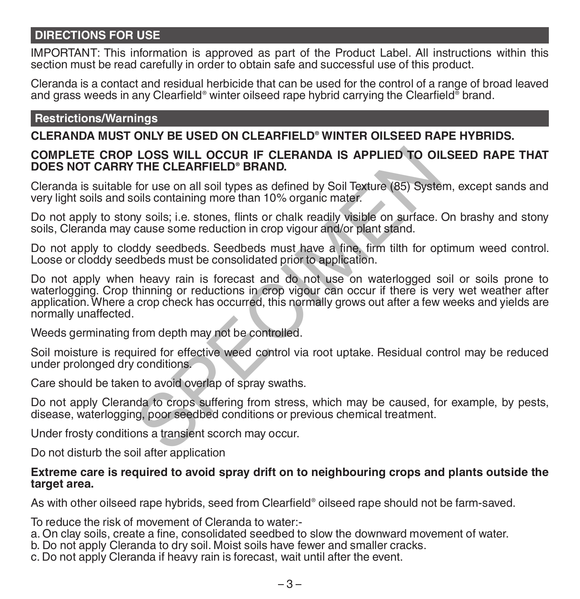# **DIRECTIONS FOR USE**

IMPORTANT: This information is approved as part of the Product Label. All instructions within this section must be read carefully in order to obtain safe and successful use of this product.

Cleranda is a contact and residual herbicide that can be used for the control of a range of broad leaved and grass weeds in any Clearfield® winter oilseed rape hybrid carrying the Clearfield® brand.

## **Restrictions/Warnings**

# **CLERANDA MUST ONLY BE USED ON CLEARFIELD® WINTER OILSEED RAPE HYBRIDS.**

## **COMPLETE CROP LOSS WILL OCCUR IF CLERANDA IS APPLIED TO OILSEED RAPE THAT DOES NOT CARRY THE CLEARFIELD® BRAND.**

Cleranda is suitable for use on all soil types as defined by Soil Texture (85) System, except sands and very light soils and soils containing more than 10% organic mater.

Do not apply to stony soils; i.e. stones, flints or chalk readily visible on surface. On brashy and stony soils, Cleranda may cause some reduction in crop vigour and/or plant stand.

Do not apply to cloddy seedbeds. Seedbeds must have a fine, firm tilth for optimum weed control. Loose or cloddy seedbeds must be consolidated prior to application.

Do not apply when heavy rain is forecast and do not use on waterlogged soil or soils prone to waterlogging. Crop thinning or reductions in crop vigour can occur if there is very wet weather after application. Where a crop check has occurred, this normally grows out after a few weeks and yields are normally unaffected. LOSS WILL OCCUR IF CLERANDA IS APPLIED TO OI<br>THE CLEARFIELD® BRAND.<br>for use on all soil types as defined by Soil Texture (85) Syste<br>oils containing more than 10% organic mater.<br>y soils; i.e. stones, flints or chalk readily

Weeds germinating from depth may not be controlled.

Soil moisture is required for effective weed control via root uptake. Residual control may be reduced under prolonged dry conditions.

Care should be taken to avoid overlap of spray swaths.

Do not apply Cleranda to crops suffering from stress, which may be caused, for example, by pests, disease, waterlogging, poor seedbed conditions or previous chemical treatment.

Under frosty conditions a transient scorch may occur.

Do not disturb the soil after application

## **Extreme care is required to avoid spray drift on to neighbouring crops and plants outside the target area.**

As with other oilseed rape hybrids, seed from Clearfield® oilseed rape should not be farm-saved.

To reduce the risk of movement of Cleranda to water:-

a. On clay soils, create a fine, consolidated seedbed to slow the downward movement of water.

- b. Do not apply Cleranda to dry soil. Moist soils have fewer and smaller cracks.
- c. Do not apply Cleranda if heavy rain is forecast, wait until after the event.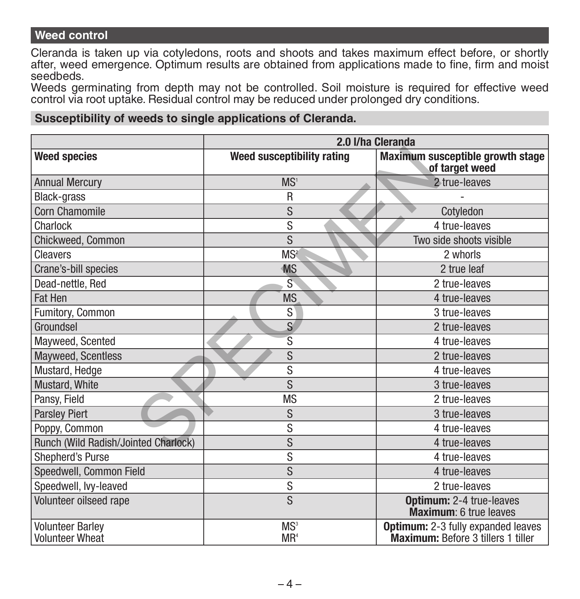## **Weed control**

Cleranda is taken up via cotyledons, roots and shoots and takes maximum effect before, or shortly after, weed emergence. Optimum results are obtained from applications made to fine, firm and moist seedbeds.

Weeds germinating from depth may not be controlled. Soil moisture is required for effective weed control via root uptake. Residual control may be reduced under prolonged dry conditions.

## **Susceptibility of weeds to single applications of Cleranda.**

|                                      | 2.0 I/ha Cleranda          |                                                           |  |
|--------------------------------------|----------------------------|-----------------------------------------------------------|--|
| <b>Weed species</b>                  | Weed susceptibility rating | Maximum susceptible growth stage<br>of target weed        |  |
| <b>Annual Mercury</b>                | MS <sup>1</sup>            | 2 true-leaves                                             |  |
| <b>Black-grass</b>                   | R                          |                                                           |  |
| Corn Chamomile                       | S                          | Cotyledon                                                 |  |
| Charlock                             | S                          | 4 true-leaves                                             |  |
| Chickweed, Common                    | S                          | Two side shoots visible                                   |  |
| Cleavers                             | MS <sup>2</sup>            | 2 whorls                                                  |  |
| Crane's-bill species                 | <b>MS</b>                  | 2 true leaf                                               |  |
| Dead-nettle, Red                     | $\tilde{S}$                | 2 true-leaves                                             |  |
| Fat Hen                              | <b>MS</b>                  | 4 true-leaves                                             |  |
| Fumitory, Common                     | S                          | 3 true-leaves                                             |  |
| Groundsel                            | S                          | 2 true-leaves                                             |  |
| Mayweed, Scented                     | S                          | 4 true-leaves                                             |  |
| Mayweed, Scentless                   | S                          | 2 true-leaves                                             |  |
| Mustard, Hedge                       | S                          | 4 true-leaves                                             |  |
| Mustard, White                       | S                          | 3 true-leaves                                             |  |
| Pansy, Field                         | <b>MS</b>                  | 2 true-leaves                                             |  |
| <b>Parsley Piert</b>                 | S                          | 3 true-leaves                                             |  |
| Poppy, Common                        | S                          | 4 true-leaves                                             |  |
| Runch (Wild Radish/Jointed Charlock) | S                          | 4 true-leaves                                             |  |
| Shepherd's Purse                     | S                          | 4 true-leaves                                             |  |
| Speedwell, Common Field              | S                          | 4 true-leaves                                             |  |
| Speedwell, lvy-leaved                | S                          | 2 true-leaves                                             |  |
| Volunteer oilseed rape               | S                          | <b>Optimum: 2-4 true-leaves</b><br>Maximum: 6 true leaves |  |
| <b>Volunteer Barley</b>              | MS <sup>3</sup>            | Optimum: 2-3 fully expanded leaves                        |  |
| <b>Volunteer Wheat</b>               | MR <sup>4</sup>            | Maximum: Before 3 tillers 1 tiller                        |  |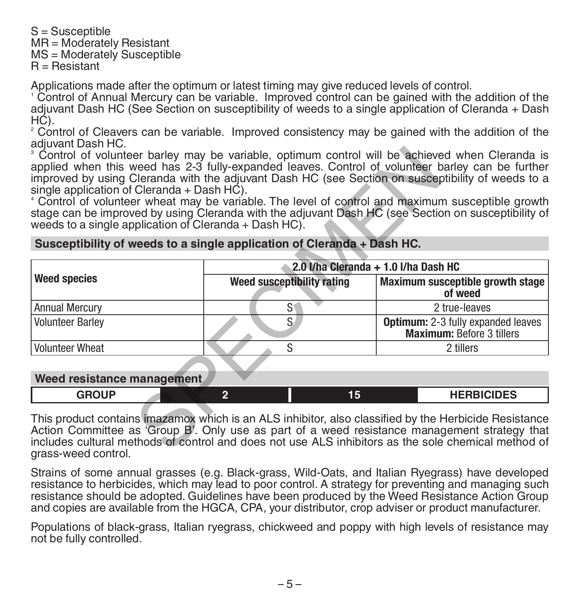S = Susceptible MR = Moderately Resistant MS = Moderately Susceptible R = Resistant

Applications made after the optimum or latest timing may give reduced levels of control.

1 Control of Annual Mercury can be variable. Improved control can be gained with the addition of the adjuvant Dash HC (See Section on susceptibility of weeds to a single application of Cleranda + Dash HC).

2 Control of Cleavers can be variable. Improved consistency may be gained with the addition of the adiuvant Dash HC.

## **Susceptibility of weeds to a single application of Cleranda + Dash HC.**

| <sup>3</sup> Control of volunteer barley may be variable, optimum control will be achieved when Cleranda is<br>applied when this weed has 2-3 fully-expanded leaves. Control of volunteer barley can be further<br>improved by using Cleranda with the adjuvant Dash HC (see Section on susceptibility of weeds to a<br>single application of Cleranda $+$ Dash HC).<br><sup>4</sup> Control of volunteer wheat may be variable. The level of control and maximum susceptible growth<br>stage can be improved by using Cleranda with the adjuvant Dash HC (see Section on susceptibility of<br>weeds to a single application of Cleranda + Dash HC). |                                                                        |                                                                               |  |  |
|------------------------------------------------------------------------------------------------------------------------------------------------------------------------------------------------------------------------------------------------------------------------------------------------------------------------------------------------------------------------------------------------------------------------------------------------------------------------------------------------------------------------------------------------------------------------------------------------------------------------------------------------------|------------------------------------------------------------------------|-------------------------------------------------------------------------------|--|--|
|                                                                                                                                                                                                                                                                                                                                                                                                                                                                                                                                                                                                                                                      | Susceptibility of weeds to a single application of Cleranda + Dash HC. |                                                                               |  |  |
|                                                                                                                                                                                                                                                                                                                                                                                                                                                                                                                                                                                                                                                      | 2.0 I/ha Cleranda + 1.0 I/ha Dash HC                                   |                                                                               |  |  |
| Weed species                                                                                                                                                                                                                                                                                                                                                                                                                                                                                                                                                                                                                                         | Weed susceptibility rating                                             | Maximum susceptible growth stage<br>of weed                                   |  |  |
| <b>Annual Mercury</b>                                                                                                                                                                                                                                                                                                                                                                                                                                                                                                                                                                                                                                | $S^{\dagger}$                                                          | 2 true-leaves                                                                 |  |  |
| <b>Volunteer Barley</b>                                                                                                                                                                                                                                                                                                                                                                                                                                                                                                                                                                                                                              | S.                                                                     | <b>Optimum:</b> 2-3 fully expanded leaves<br><b>Maximum: Before 3 tillers</b> |  |  |
| <b>Volunteer Wheat</b>                                                                                                                                                                                                                                                                                                                                                                                                                                                                                                                                                                                                                               | S                                                                      | 2 tillers                                                                     |  |  |
| Weed resistance management                                                                                                                                                                                                                                                                                                                                                                                                                                                                                                                                                                                                                           |                                                                        |                                                                               |  |  |
| <b>GROUP</b>                                                                                                                                                                                                                                                                                                                                                                                                                                                                                                                                                                                                                                         | $\overline{2}$<br>15                                                   | <b>HERBICIDES</b>                                                             |  |  |
| This product contains imazamox which is an ALS inhibitor, also classified by the Herbicide Resistance<br>Action Committee as 'Group B'. Only use as part of a weed resistance management strategy that<br>includes cultural methods of control and does not use ALS inhibitors as the sole chemical method of<br>argee-wood control                                                                                                                                                                                                                                                                                                                  |                                                                        |                                                                               |  |  |

#### **Weed resistance management**

| <b>GDOUD</b> |  | 15 | IIPDDIQIDFA<br>- טבוע<br>.<br>$\sim$ $\sim$ $\sim$ $\sim$ $\sim$ |
|--------------|--|----|------------------------------------------------------------------|
|              |  |    |                                                                  |

This product contains imazamox which is an ALS inhibitor, also classified by the Herbicide Resistance Action Committee as 'Group B'. Only use as part of a weed resistance management strategy that includes cultural methods of control and does not use ALS inhibitors as the sole chemical method of grass-weed control.

Strains of some annual grasses (e.g. Black-grass, Wild-Oats, and Italian Ryegrass) have developed resistance to herbicides, which may lead to poor control. A strategy for preventing and managing such resistance should be adopted. Guidelines have been produced by the Weed Resistance Action Group and copies are available from the HGCA, CPA, your distributor, crop adviser or product manufacturer.

Populations of black-grass, Italian ryegrass, chickweed and poppy with high levels of resistance may not be fully controlled.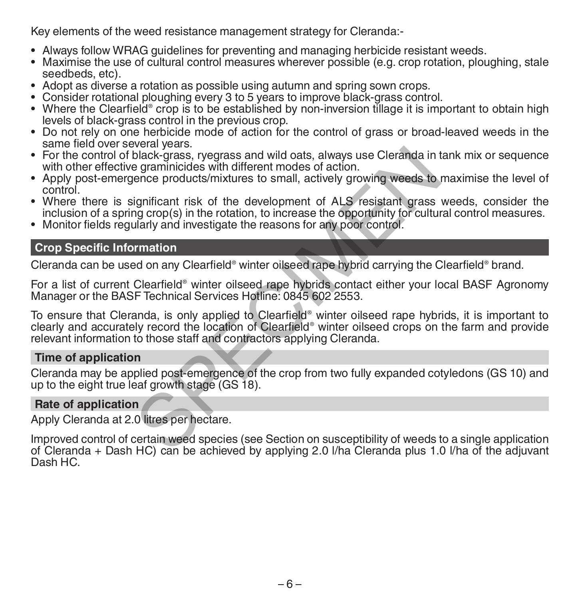Key elements of the weed resistance management strategy for Cleranda:-

- Always follow WRAG guidelines for preventing and managing herbicide resistant weeds.
- Maximise the use of cultural control measures wherever possible (e.g. crop rotation, ploughing, stale seedbeds, etc).
- Adopt as diverse a rotation as possible using autumn and spring sown crops.
- Consider rotational ploughing every 3 to 5 years to improve black-grass control.
- Where the Clearfield® crop is to be established by non-inversion tillage it is important to obtain high levels of black-grass control in the previous crop.
- Do not rely on one herbicide mode of action for the control of grass or broad-leaved weeds in the same field over several years.
- For the control of black-grass, ryegrass and wild oats, always use Cleranda in tank mix or sequence with other effective graminicides with different modes of action.
- Apply post-emergence products/mixtures to small, actively growing weeds to maximise the level of control.
- Where there is significant risk of the development of ALS resistant grass weeds, consider the inclusion of a spring crop(s) in the rotation, to increase the opportunity for cultural control measures.
- Monitor fields regularly and investigate the reasons for any poor control.

# **Crop Specific Information**

Cleranda can be used on any Clearfield® winter oilseed rape hybrid carrying the Clearfield® brand.

For a list of current Clearfield® winter oilseed rape hybrids contact either your local BASF Agronomy Manager or the BASF Technical Services Hotline: 0845 602 2553.

To ensure that Cleranda, is only applied to Clearfield® winter oilseed rape hybrids, it is important to clearly and accurately record the location of Clearfield® winter oilseed crops on the farm and provide relevant information to those staff and contractors applying Cleranda. From the species and wild oats, always use Cleranda in the graminicides with different modes of action.<br>
ence products/mixtures to small, actively growing weeds to<br>
ignificant risk of the development of ALS resistant grass

## **Time of application**

Cleranda may be applied post-emergence of the crop from two fully expanded cotyledons (GS 10) and up to the eight true leaf growth stage (GS 18).

## **Rate of application**

Apply Cleranda at 2.0 litres per hectare.

Improved control of certain weed species (see Section on susceptibility of weeds to a single application of Cleranda + Dash HC) can be achieved by applying 2.0 l/ha Cleranda plus 1.0 l/ha of the adjuvant Dash HC.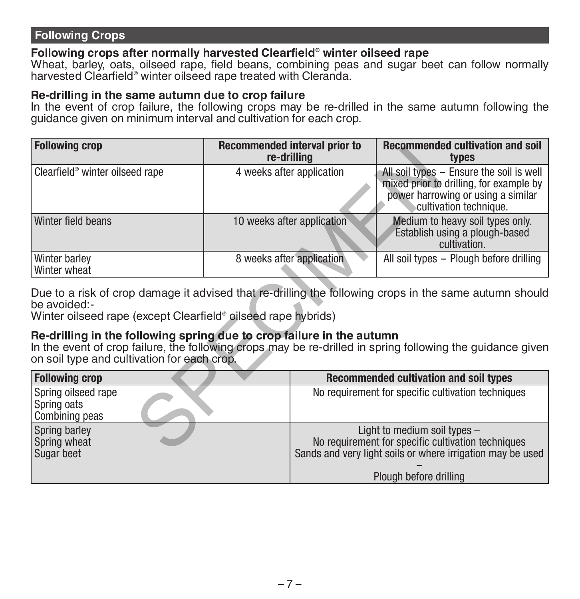# **Following Crops**

# **Following crops after normally harvested Clearfield® winter oilseed rape**

Wheat, barley, oats, oilseed rape, field beans, combining peas and sugar beet can follow normally harvested Clearfield® winter oilseed rape treated with Cleranda.

## **Re-drilling in the same autumn due to crop failure**

In the event of crop failure, the following crops may be re-drilled in the same autumn following the guidance given on minimum interval and cultivation for each crop.

| <b>Following crop</b>                                                                                                                                                                                                              |  | <b>Recommended interval prior to</b><br>re-drilling | <b>Recommended cultivation and soil</b><br>types                                                                                                    |  |
|------------------------------------------------------------------------------------------------------------------------------------------------------------------------------------------------------------------------------------|--|-----------------------------------------------------|-----------------------------------------------------------------------------------------------------------------------------------------------------|--|
| Clearfield <sup>®</sup> winter oilseed rape                                                                                                                                                                                        |  | 4 weeks after application                           | All soil types - Ensure the soil is well<br>mixed prior to drilling, for example by<br>power harrowing or using a similar<br>cultivation technique. |  |
| Winter field beans                                                                                                                                                                                                                 |  | 10 weeks after application                          | Medium to heavy soil types only.<br>Establish using a plough-based<br>cultivation.                                                                  |  |
| Winter barley<br>Winter wheat                                                                                                                                                                                                      |  | 8 weeks after application                           | All soil types - Plough before drilling                                                                                                             |  |
| Due to a risk of crop damage it advised that re-drilling the following crops in the same autumn should<br>be avoided:-<br>Winter oilseed rape (except Clearfield® oilseed rape hybrids)                                            |  |                                                     |                                                                                                                                                     |  |
| Re-drilling in the following spring due to crop failure in the autumn<br>In the event of crop failure, the following crops may be re-drilled in spring following the guidance given<br>on soil type and cultivation for each crop. |  |                                                     |                                                                                                                                                     |  |
| <b>Following crop</b>                                                                                                                                                                                                              |  |                                                     | Recommended cultivation and soil types                                                                                                              |  |
| Spring oilseed rape<br>Spring oats<br>Combining peas                                                                                                                                                                               |  |                                                     | No requirement for specific cultivation techniques                                                                                                  |  |
| Spring barley<br>Spring wheat<br>Sugar beet                                                                                                                                                                                        |  |                                                     | Light to medium soil types -<br>No requirement for specific cultivation techniques<br>Sands and very light soils or where irrigation may be used    |  |
|                                                                                                                                                                                                                                    |  |                                                     |                                                                                                                                                     |  |

## **Re-drilling in the following spring due to crop failure in the autumn**

| <b>Following crop</b>                                | Recommended cultivation and soil types                                                                                                             |
|------------------------------------------------------|----------------------------------------------------------------------------------------------------------------------------------------------------|
| Spring oilseed rape<br>Spring oats<br>Combining peas | No requirement for specific cultivation techniques                                                                                                 |
| Spring barley<br>Spring wheat<br>Sugar beet          | Light to medium soil types $-$<br>No requirement for specific cultivation techniques<br>Sands and very light soils or where irrigation may be used |
|                                                      | Plough before drilling                                                                                                                             |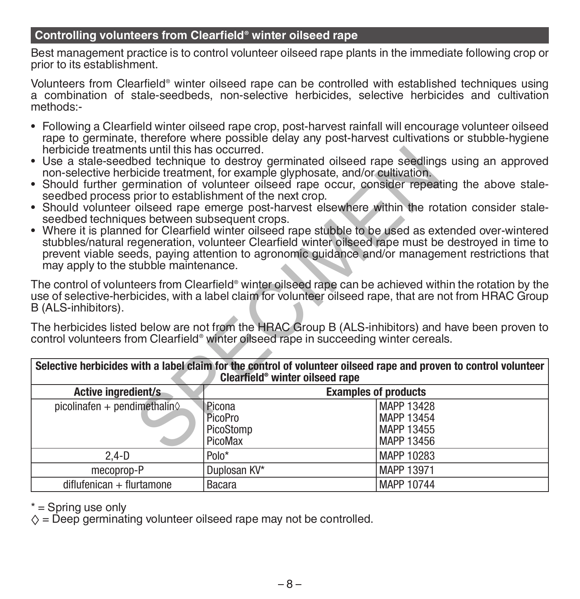# **Controlling volunteers from Clearfield® winter oilseed rape**

Best management practice is to control volunteer oilseed rape plants in the immediate following crop or prior to its establishment.

Volunteers from Clearfield® winter oilseed rape can be controlled with established techniques using a combination of stale-seedbeds, non-selective herbicides, selective herbicides and cultivation methods:-

- Following a Clearfield winter oilseed rape crop, post-harvest rainfall will encourage volunteer oilseed rape to germinate, therefore where possible delay any post-harvest cultivations or stubble-hygiene<br>herbicide treatments until this has occurred.
- Use a stale-seedbed technique to destroy germinated oilseed rape seedlings using an approved non-selective herbicide treatment, for example glyphosate, and/or cultivation.
- Should further germination of volunteer oilseed rape occur, consider repeating the above stale-<br>seedbed process prior to establishment of the next crop.
- Should volunteer oilseed rape emerge post-harvest elsewhere within the rotation consider stale-<br>seedbed techniques between subsequent crops.
- Where it is planned for Clearfield winter oilseed rape stubble to be used as extended over-wintered stubbles/natural regeneration, volunteer Clearfield winter oilseed rape must be destroyed in time to prevent viable seeds, paying attention to agronomic guidance and/or management restrictions that may apply to the stubble maintenance.

| herbicide treatments until this has occurred.                                                                                                                                                                                                                                                                                                                                                                                                                                                                                                                               |                      |                             |  |  |
|-----------------------------------------------------------------------------------------------------------------------------------------------------------------------------------------------------------------------------------------------------------------------------------------------------------------------------------------------------------------------------------------------------------------------------------------------------------------------------------------------------------------------------------------------------------------------------|----------------------|-----------------------------|--|--|
| • Use a stale-seedbed technique to destroy germinated oilseed rape seedlings using an approved<br>non-selective herbicide treatment, for example glyphosate, and/or cultivation.                                                                                                                                                                                                                                                                                                                                                                                            |                      |                             |  |  |
| • Should further germination of volunteer oilseed rape occur, consider repeating the above stale-                                                                                                                                                                                                                                                                                                                                                                                                                                                                           |                      |                             |  |  |
| seedbed process prior to establishment of the next crop.<br>• Should volunteer oilseed rape emerge post-harvest elsewhere within the rotation consider stale-<br>seedbed techniques between subsequent crops.<br>• Where it is planned for Clearfield winter oilseed rape stubble to be used as extended over-wintered<br>stubbles/natural regeneration, volunteer Clearfield winter oilseed rape must be destroyed in time to<br>prevent viable seeds, paying attention to agronomic guidance and/or management restrictions that<br>may apply to the stubble maintenance. |                      |                             |  |  |
| The control of volunteers from Clearfield® winter oilseed rape can be achieved within the rotation by the<br>use of selective-herbicides, with a label claim for volunteer oilseed rape, that are not from HRAC Group<br>B (ALS-inhibitors).                                                                                                                                                                                                                                                                                                                                |                      |                             |  |  |
| The herbicides listed below are not from the HRAC Group B (ALS-inhibitors) and have been proven to<br>control volunteers from Clearfield® winter oilseed rape in succeeding winter cereals.                                                                                                                                                                                                                                                                                                                                                                                 |                      |                             |  |  |
| Selective herbicides with a label claim for the control of volunteer oilseed rape and proven to control volunteer<br>Clearfield <sup>®</sup> winter oilseed rape                                                                                                                                                                                                                                                                                                                                                                                                            |                      |                             |  |  |
| Active ingredient/s                                                                                                                                                                                                                                                                                                                                                                                                                                                                                                                                                         |                      | <b>Examples of products</b> |  |  |
| picolinafen + pendimethalin $\diamond$                                                                                                                                                                                                                                                                                                                                                                                                                                                                                                                                      | Picona               | MAPP 13428                  |  |  |
|                                                                                                                                                                                                                                                                                                                                                                                                                                                                                                                                                                             | PicoPro              | MAPP 13454                  |  |  |
|                                                                                                                                                                                                                                                                                                                                                                                                                                                                                                                                                                             | PicoStomp<br>PicoMax | MAPP 13455<br>MAPP 13456    |  |  |
| $2,4-D$                                                                                                                                                                                                                                                                                                                                                                                                                                                                                                                                                                     | $Polo^*$             | MAPP 10283                  |  |  |
| mecoprop-P                                                                                                                                                                                                                                                                                                                                                                                                                                                                                                                                                                  | Duplosan KV*         | MAPP 13971                  |  |  |
| $diff$ ufenican + flurtamone                                                                                                                                                                                                                                                                                                                                                                                                                                                                                                                                                | <b>Bacara</b>        | MAPP 10744                  |  |  |
|                                                                                                                                                                                                                                                                                                                                                                                                                                                                                                                                                                             |                      |                             |  |  |

\* = Spring use only

 $\diamond$  = Deep germinating volunteer oilseed rape may not be controlled.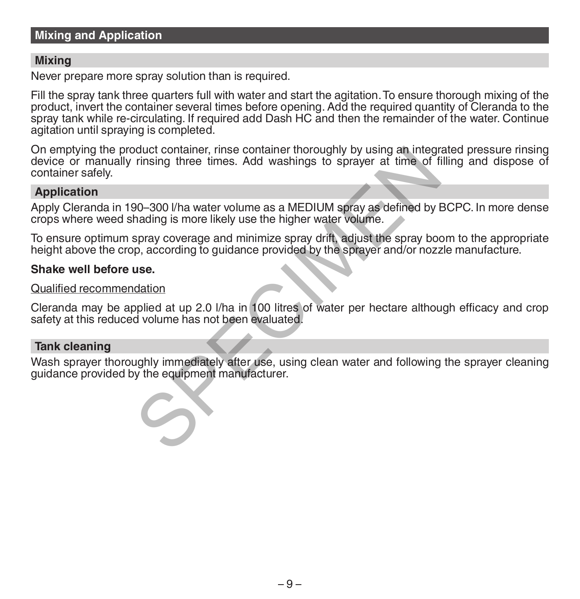# **Mixing and Application**

## **Mixing**

Never prepare more spray solution than is required.

Fill the spray tank three quarters full with water and start the agitation. To ensure thorough mixing of the product, invert the container several times before opening. Add the required quantity of Cleranda to the spray tank while re-circulating. If required add Dash HC and then the remainder of the water. Continue agitation until spraving is completed.

On emptying the product container, rinse container thoroughly by using an integrated pressure rinsing device or manually rinsing three times. Add washings to sprayer at time of filling and dispose of container safely. or duck container, rinse container thoroughly by using an integral missing three times. Add washings to sprayer at time of forming three times. Add washings to sprayer at time of forming the times. Add washings to sprayer

## **Application**

Apply Cleranda in 190–300 l/ha water volume as a MEDIUM spray as defined by BCPC. In more dense crops where weed shading is more likely use the higher water volume.

To ensure optimum spray coverage and minimize spray drift, adjust the spray boom to the appropriate height above the crop, according to guidance provided by the sprayer and/or nozzle manufacture.

## **Shake well before use.**

#### Qualified recommendation

Cleranda may be applied at up 2.0 l/ha in 100 litres of water per hectare although efficacy and crop safety at this reduced volume has not been evaluated.

## **Tank cleaning**

Wash sprayer thoroughly immediately after use, using clean water and following the sprayer cleaning guidance provided by the equipment manufacturer.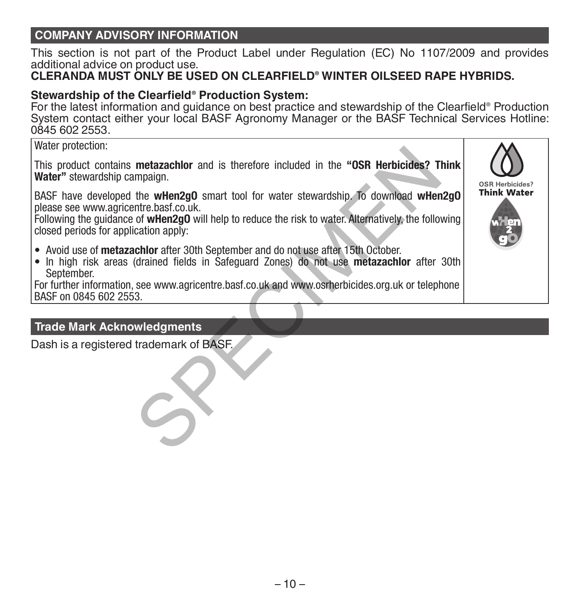# **COMPANY ADVISORY INFORMATION**

This section is not part of the Product Label under Regulation (EC) No 1107/2009 and provides additional advice on product use.

# **CLERANDA MUST ONLY BE USED ON CLEARFIELD® WINTER OILSEED RAPE HYBRIDS.**

# **Stewardship of the Clearfield® Production System:**

For the latest information and guidance on best practice and stewardship of the Clearfield® Production System contact either your local BASF Agronomy Manager or the BASF Technical Services Hotline: 0845 602 2553.

## Water protection:

This product contains **metazachlor** and is therefore included in the **"OSR Herbicides? Think Water"** stewardship campaign. metazachlor and is therefore included in the "OSR Herbicides? Tompaign.<br>
the wHen2g0 smart tool for water stewardship. To download wHere<br>
there.basf.co.uk.<br>
of wHen2g0 will help to reduce the risk to water. Alternatively,

BASF have developed the **wHen2gO** smart tool for water stewardship. To download **wHen2gO** please see www.agricentre.basf.co.uk.

Following the guidance of **wHen2gO** will help to reduce the risk to water. Alternatively, the following closed periods for application apply:

- Avoid use of **metazachlor** after 30th September and do not use after 15th October.
- In high risk areas (drained fields in Safeguard Zones) do not use **metazachlor** after 30th September.

For further information, see www.agricentre.basf.co.uk and www.osrherbicides.org.uk or telephone BASF on 0845 602 2553.

# **Trade Mark Acknowledgments**

Dash is a registered trademark of BASF.

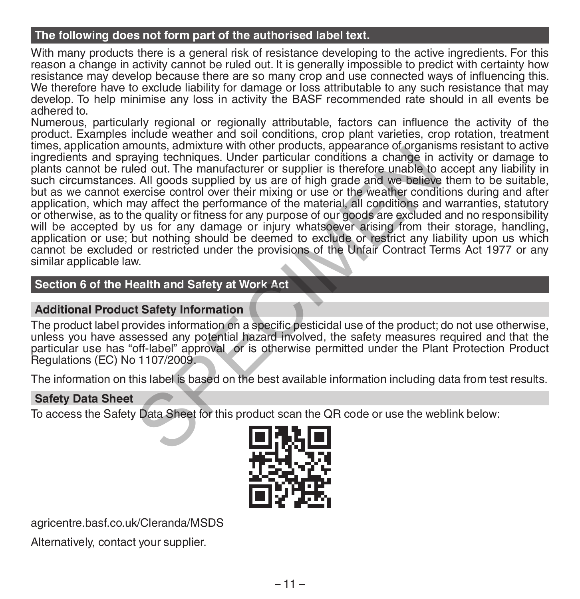# **The following does not form part of the authorised label text.**

With many products there is a general risk of resistance developing to the active ingredients. For this reason a change in activity cannot be ruled out. It is generally impossible to predict with certainty how resistance may develop because there are so many crop and use connected ways of influencing this. We therefore have to exclude liability for damage or loss attributable to any such resistance that may develop. To help minimise any loss in activity the BASF recommended rate should in all events be adhered to.

Numerous, particularly regional or regionally attributable, factors can influence the activity of the product. Examples include weather and soil conditions, crop plant varieties, crop rotation, treatment times, application amounts, admixture with other products, appearance of organisms resistant to active ingredients and spraying techniques. Under particular conditions a change in activity or damage to plants cannot be ruled out. The manufacturer or supplier is therefore unable to accept any liability in such circumstances. All goods supplied by us are of high grade and we believe them to be suitable, but as we cannot exercise control over their mixing or use or the weather conditions during and after application, which may affect the performance of the material, all conditions and warranties, statutory or otherwise, as to the quality or fitness for any purpose of our goods are excluded and no responsibility will be accepted by us for any damage or injury whatsoever arising from their storage, handling, application or use; but nothing should be deemed to exclude or restrict any liability upon us which cannot be excluded or restricted under the provisions of the Unfair Contract Terms Act 1977 or any similar applicable law. nouting, authorite with other protoucle, appearance or originalized to the particular conditions a change in ed out. The manufacturer or supplier is therefore unable to All goods supplied by us are of high grade and we bel

# **Section 6 of the Health and Safety at Work Act**

## **Additional Product Safety Information**

The product label provides information on a specific pesticidal use of the product; do not use otherwise, unless you have assessed any potential hazard involved, the safety measures required and that the particular use has "off-label" approval or is otherwise permitted under the Plant Protection Product Regulations (EC) No 1107/2009.

The information on this label is based on the best available information including data from test results.

## **Safety Data Sheet**

To access the Safety Data Sheet for this product scan the QR code or use the weblink below:



agricentre.basf.co.uk/Cleranda/MSDS

Alternatively, contact your supplier.